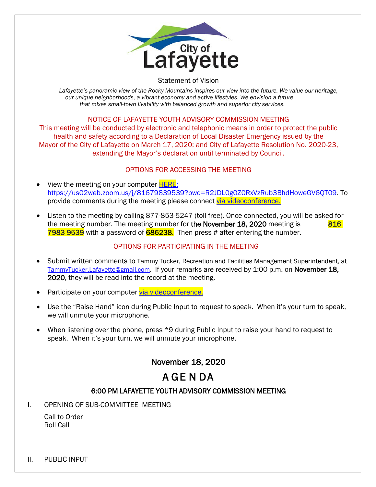

#### Statement of Vision

Lafayette's panoramic view of the Rocky Mountains inspires our view into the future. We value our heritage, *our unique neighborhoods, a vibrant economy and active lifestyles. We envision a future that mixes small-town livability with balanced growth and superior city services.*

## NOTICE OF LAFAYETTE YOUTH ADVISORY COMMISSION MEETING

This meeting will be conducted by electronic and telephonic means in order to protect the public health and safety according to a Declaration of Local Disaster Emergency issued by the Mayor of the City of Lafayette on March 17, 2020; and City of Lafayette Resolution No. 2020-23, extending the Mayor's declaration until terminated by Council.

## OPTIONS FOR ACCESSING THE MEETING

- View the meeting on your computer **HERE**: https://us02web.zoom.us/j/81679839539?pwd=R2JDL0g0Z0RxVzRub3BhdHoweGV6QT09. To provide comments during the meeting please connect [via videoconference.](https://us02web.zoom.us/j/81679839539?pwd=R2JDL0g0Z0RxVzRub3BhdHoweGV6QT09)
- Listen to the meeting by calling 877-853-5247 (toll free). Once connected, you will be asked for the meeting number. The meeting number for the November 18, 2020 meeting is  $816$ 7983 9539 with a password of 686238. Then press # after entering the number.

## OPTIONS FOR PARTICIPATING IN THE MEETING

- Submit written comments to Tammy Tucker, Recreation and Facilities Management Superintendent, at [TammyTucker.Lafayette@gmail.com.](mailto:TammyTucker.Lafayette@gmail.com) If your remarks are received by 1:00 p.m. on November 18, 2020, they will be read into the record at the meeting.
- Participate on your computer [via videoconference.](https://us02web.zoom.us/j/81679839539?pwd=R2JDL0g0Z0RxVzRub3BhdHoweGV6QT09)
- Use the "Raise Hand" icon during Public Input to request to speak. When it's your turn to speak, we will unmute your microphone.
- When listening over the phone, press \*9 during Public Input to raise your hand to request to speak. When it's your turn, we will unmute your microphone.

## November 18, 2020

# A GE N DA

## 6:00 PM LAFAYETTE YOUTH ADVISORY COMMISSION MEETING

I. OPENING OF SUB-COMMITTEE MEETING

Call to Order Roll Call